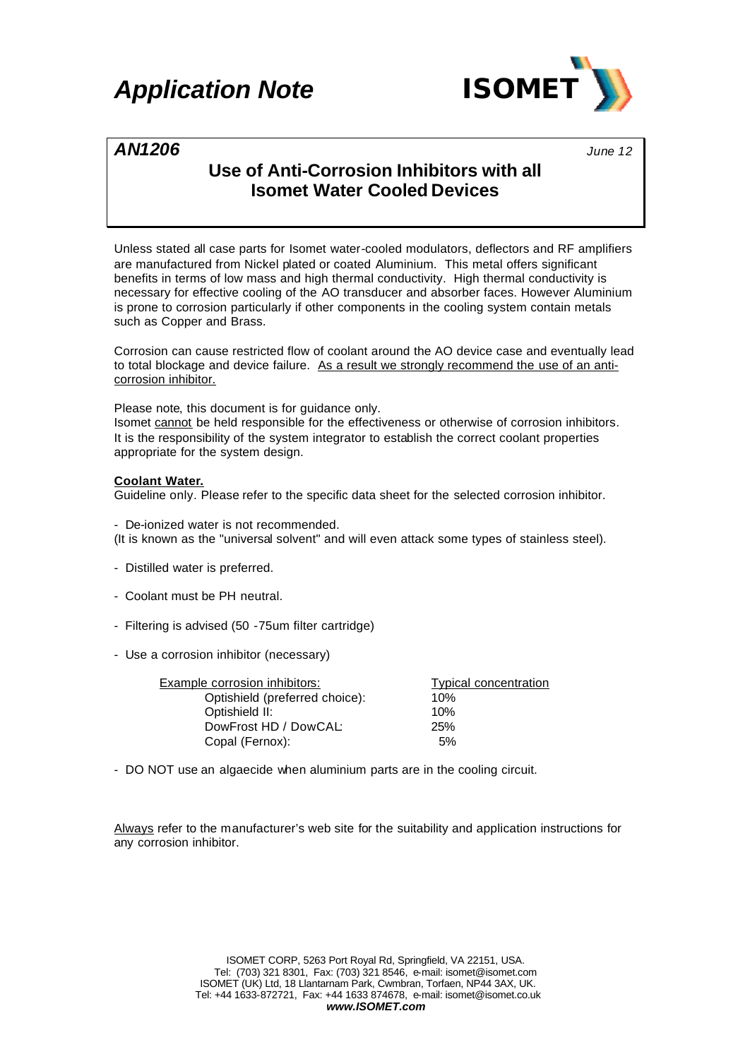## *Application Note ISOMET*



### *AN1206 June <sup>12</sup>*

## **Use of Anti-Corrosion Inhibitors with all Isomet Water Cooled Devices**

Unless stated all case parts for Isomet water-cooled modulators, deflectors and RF amplifiers are manufactured from Nickel plated or coated Aluminium. This metal offers significant benefits in terms of low mass and high thermal conductivity. High thermal conductivity is necessary for effective cooling of the AO transducer and absorber faces. However Aluminium is prone to corrosion particularly if other components in the cooling system contain metals such as Copper and Brass.

Corrosion can cause restricted flow of coolant around the AO device case and eventually lead to total blockage and device failure. As a result we strongly recommend the use of an anticorrosion inhibitor.

Please note, this document is for guidance only.

Isomet cannot be held responsible for the effectiveness or otherwise of corrosion inhibitors. It is the responsibility of the system integrator to establish the correct coolant properties appropriate for the system design.

### **Coolant Water.**

Guideline only. Please refer to the specific data sheet for the selected corrosion inhibitor.

- De-ionized water is not recommended. (It is known as the "universal solvent" and will even attack some types of stainless steel).

- Distilled water is preferred.
- Coolant must be PH neutral.
- Filtering is advised (50 -75um filter cartridge)
- Use a corrosion inhibitor (necessary)

| <b>Example corrosion inhibitors:</b><br><b>Typical concentration</b> |  |
|----------------------------------------------------------------------|--|
| Optishield (preferred choice):<br>10%                                |  |
| Optishield II:<br>10%                                                |  |
| DowFrost HD / DowCAL:<br>25%                                         |  |
| Copal (Fernox):<br>5%                                                |  |

- DO NOT use an algaecide when aluminium parts are in the cooling circuit.

Always refer to the manufacturer's web site for the suitability and application instructions for any corrosion inhibitor.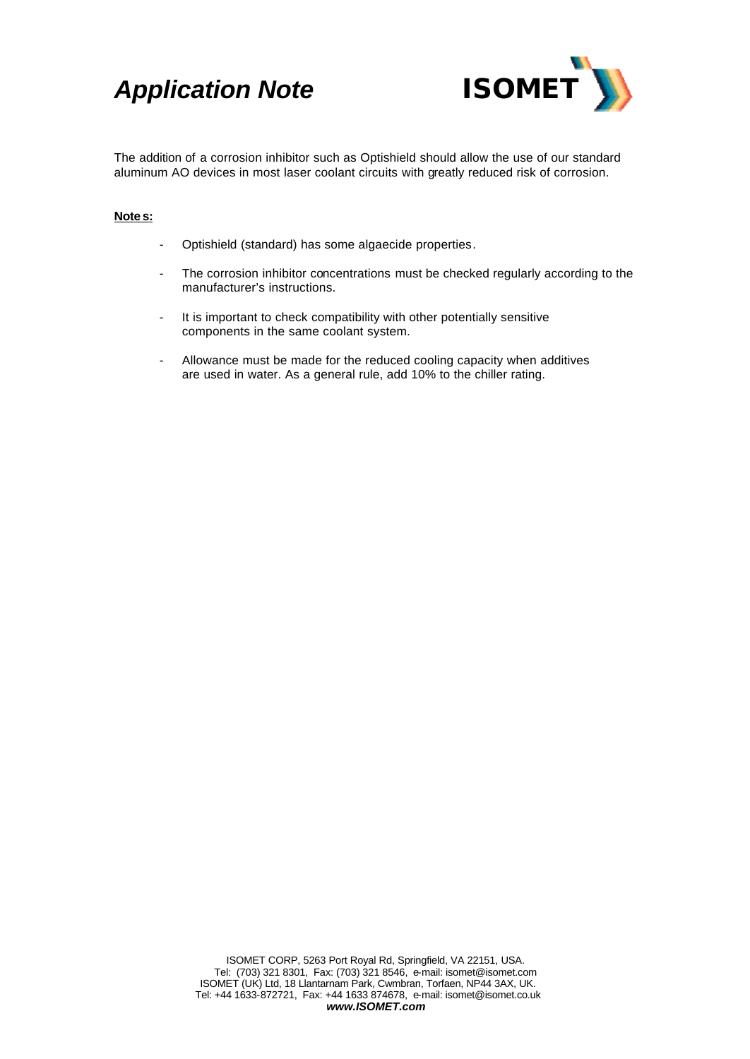# *Application Note ISOMET*



The addition of a corrosion inhibitor such as Optishield should allow the use of our standard aluminum AO devices in most laser coolant circuits with greatly reduced risk of corrosion.

### **Notes:**

- Optishield (standard) has some algaecide properties.
- The corrosion inhibitor concentrations must be checked regularly according to the manufacturer's instructions.
- It is important to check compatibility with other potentially sensitive components in the same coolant system.
- Allowance must be made for the reduced cooling capacity when additives are used in water. As a general rule, add 10% to the chiller rating.